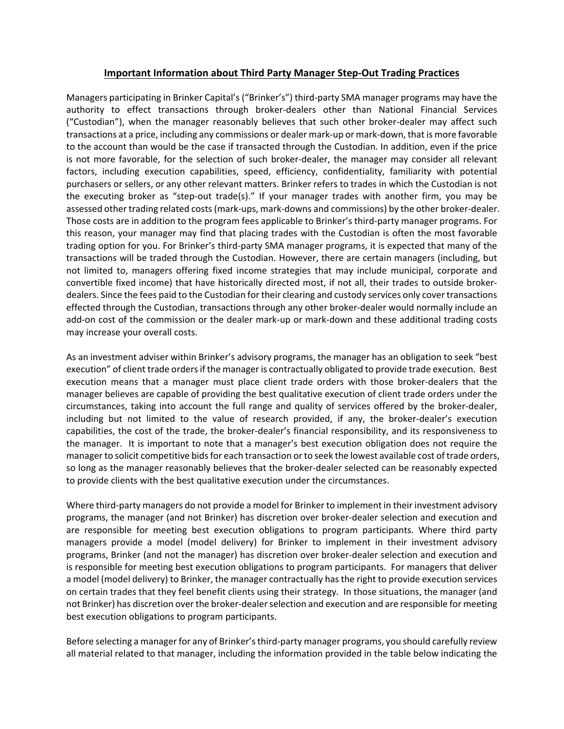## **Important Information about Third Party Manager Step‐Out Trading Practices**

Managers participating in Brinker Capital's ("Brinker's") third‐party SMA manager programs may have the authority to effect transactions through broker‐dealers other than National Financial Services ("Custodian"), when the manager reasonably believes that such other broker‐dealer may affect such transactions at a price, including any commissions or dealer mark‐up or mark‐down, that is more favorable to the account than would be the case if transacted through the Custodian. In addition, even if the price is not more favorable, for the selection of such broker‐dealer, the manager may consider all relevant factors, including execution capabilities, speed, efficiency, confidentiality, familiarity with potential purchasers or sellers, or any other relevant matters. Brinker refers to trades in which the Custodian is not the executing broker as "step-out trade(s)." If your manager trades with another firm, you may be assessed other trading related costs(mark‐ups, mark‐downs and commissions) by the other broker‐dealer. Those costs are in addition to the program fees applicable to Brinker's third‐party manager programs. For this reason, your manager may find that placing trades with the Custodian is often the most favorable trading option for you. For Brinker's third‐party SMA manager programs, it is expected that many of the transactions will be traded through the Custodian. However, there are certain managers (including, but not limited to, managers offering fixed income strategies that may include municipal, corporate and convertible fixed income) that have historically directed most, if not all, their trades to outside broker‐ dealers. Since the fees paid to the Custodian for their clearing and custody services only cover transactions effected through the Custodian, transactions through any other broker‐dealer would normally include an add‐on cost of the commission or the dealer mark‐up or mark‐down and these additional trading costs may increase your overall costs.

As an investment adviser within Brinker's advisory programs, the manager has an obligation to seek "best execution" of client trade ordersif the manager is contractually obligated to provide trade execution. Best execution means that a manager must place client trade orders with those broker‐dealers that the manager believes are capable of providing the best qualitative execution of client trade orders under the circumstances, taking into account the full range and quality of services offered by the broker‐dealer, including but not limited to the value of research provided, if any, the broker‐dealer's execution capabilities, the cost of the trade, the broker‐dealer's financial responsibility, and its responsiveness to the manager. It is important to note that a manager's best execution obligation does not require the manager to solicit competitive bids for each transaction or to seek the lowest available cost of trade orders, so long as the manager reasonably believes that the broker‐dealer selected can be reasonably expected to provide clients with the best qualitative execution under the circumstances.

Where third-party managers do not provide a model for Brinker to implement in their investment advisory programs, the manager (and not Brinker) has discretion over broker‐dealer selection and execution and are responsible for meeting best execution obligations to program participants. Where third party managers provide a model (model delivery) for Brinker to implement in their investment advisory programs, Brinker (and not the manager) has discretion over broker‐dealer selection and execution and is responsible for meeting best execution obligations to program participants. For managers that deliver a model (model delivery) to Brinker, the manager contractually hasthe right to provide execution services on certain trades that they feel benefit clients using their strategy. In those situations, the manager (and not Brinker) has discretion over the broker-dealer selection and execution and are responsible for meeting best execution obligations to program participants.

Before selecting a manager for any of Brinker's third-party manager programs, you should carefully review all material related to that manager, including the information provided in the table below indicating the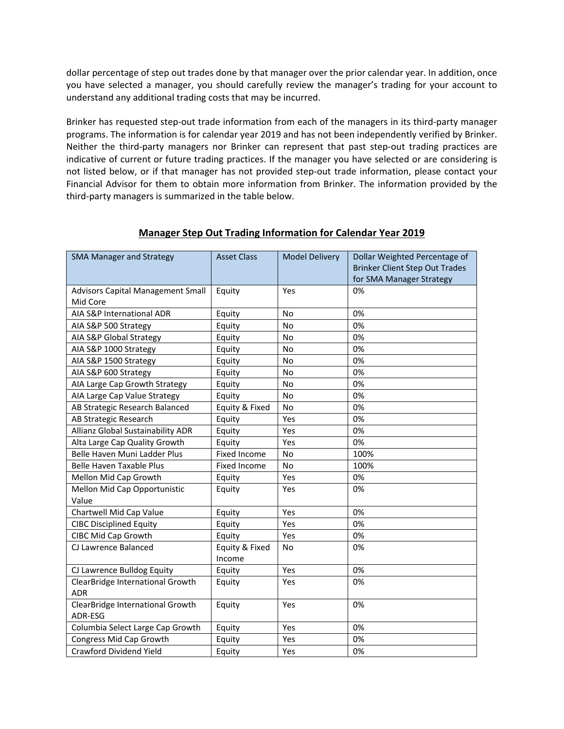dollar percentage of step out trades done by that manager over the prior calendar year. In addition, once you have selected a manager, you should carefully review the manager's trading for your account to understand any additional trading costs that may be incurred.

Brinker has requested step‐out trade information from each of the managers in its third‐party manager programs. The information is for calendar year 2019 and has not been independently verified by Brinker. Neither the third‐party managers nor Brinker can represent that past step‐out trading practices are indicative of current or future trading practices. If the manager you have selected or are considering is not listed below, or if that manager has not provided step‐out trade information, please contact your Financial Advisor for them to obtain more information from Brinker. The information provided by the third‐party managers is summarized in the table below.

| <b>SMA Manager and Strategy</b>          | <b>Asset Class</b>  | <b>Model Delivery</b> | Dollar Weighted Percentage of         |
|------------------------------------------|---------------------|-----------------------|---------------------------------------|
|                                          |                     |                       | <b>Brinker Client Step Out Trades</b> |
|                                          |                     |                       | for SMA Manager Strategy              |
| <b>Advisors Capital Management Small</b> | Equity              | Yes                   | 0%                                    |
| Mid Core                                 |                     |                       |                                       |
| AIA S&P International ADR                | Equity              | <b>No</b>             | 0%                                    |
| AIA S&P 500 Strategy                     | Equity              | <b>No</b>             | 0%                                    |
| AIA S&P Global Strategy                  | Equity              | No                    | 0%                                    |
| AIA S&P 1000 Strategy                    | Equity              | No                    | 0%                                    |
| AIA S&P 1500 Strategy                    | Equity              | No                    | 0%                                    |
| AIA S&P 600 Strategy                     | Equity              | <b>No</b>             | 0%                                    |
| AIA Large Cap Growth Strategy            | Equity              | <b>No</b>             | 0%                                    |
| AIA Large Cap Value Strategy             | Equity              | <b>No</b>             | 0%                                    |
| AB Strategic Research Balanced           | Equity & Fixed      | No                    | 0%                                    |
| AB Strategic Research                    | Equity              | Yes                   | 0%                                    |
| Allianz Global Sustainability ADR        | Equity              | Yes                   | 0%                                    |
| Alta Large Cap Quality Growth            | Equity              | Yes                   | 0%                                    |
| Belle Haven Muni Ladder Plus             | <b>Fixed Income</b> | No                    | 100%                                  |
| <b>Belle Haven Taxable Plus</b>          | Fixed Income        | No                    | 100%                                  |
| Mellon Mid Cap Growth                    | Equity              | Yes                   | 0%                                    |
| Mellon Mid Cap Opportunistic             | Equity              | Yes                   | 0%                                    |
| Value                                    |                     |                       |                                       |
| Chartwell Mid Cap Value                  | Equity              | Yes                   | 0%                                    |
| <b>CIBC Disciplined Equity</b>           | Equity              | Yes                   | 0%                                    |
| CIBC Mid Cap Growth                      | Equity              | Yes                   | 0%                                    |
| CJ Lawrence Balanced                     | Equity & Fixed      | No                    | 0%                                    |
|                                          | Income              |                       |                                       |
| CJ Lawrence Bulldog Equity               | Equity              | Yes                   | 0%                                    |
| ClearBridge International Growth         | Equity              | Yes                   | 0%                                    |
| <b>ADR</b>                               |                     |                       |                                       |
| ClearBridge International Growth         | Equity              | Yes                   | 0%                                    |
| ADR-ESG                                  |                     |                       |                                       |
| Columbia Select Large Cap Growth         | Equity              | Yes                   | 0%                                    |
| Congress Mid Cap Growth                  | Equity              | Yes                   | 0%                                    |
| Crawford Dividend Yield                  | Equity              | Yes                   | 0%                                    |

## **Manager Step Out Trading Information for Calendar Year 2019**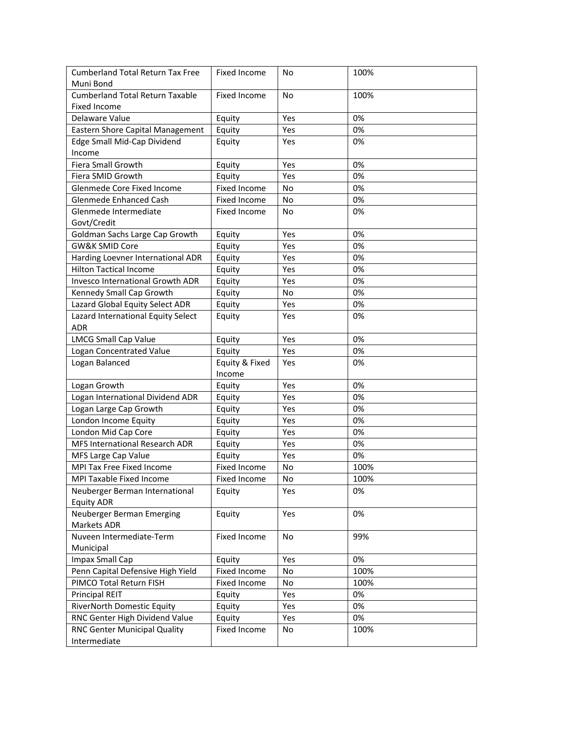| <b>Cumberland Total Return Tax Free</b><br>Muni Bond               | Fixed Income                  | No            | 100% |
|--------------------------------------------------------------------|-------------------------------|---------------|------|
| <b>Cumberland Total Return Taxable</b>                             | Fixed Income                  | No            | 100% |
| <b>Fixed Income</b>                                                |                               |               |      |
| Delaware Value                                                     |                               | Yes           | 0%   |
| Eastern Shore Capital Management                                   | Equity                        | Yes           | 0%   |
|                                                                    | Equity                        | Yes           | 0%   |
| Edge Small Mid-Cap Dividend<br>Income                              | Equity                        |               |      |
| Fiera Small Growth                                                 | Equity                        | Yes           | 0%   |
| Fiera SMID Growth                                                  |                               | Yes           | 0%   |
| Glenmede Core Fixed Income                                         | Equity<br><b>Fixed Income</b> | No            | 0%   |
| Glenmede Enhanced Cash                                             |                               | No            | 0%   |
|                                                                    | Fixed Income                  |               |      |
| Glenmede Intermediate<br>Govt/Credit                               | Fixed Income                  | No            | 0%   |
| Goldman Sachs Large Cap Growth                                     |                               | Yes           | 0%   |
| <b>GW&amp;K SMID Core</b>                                          | Equity                        |               | 0%   |
|                                                                    | Equity                        | Yes           | 0%   |
| Harding Loevner International ADR<br><b>Hilton Tactical Income</b> | Equity                        | Yes           | 0%   |
|                                                                    | Equity                        | Yes           |      |
| <b>Invesco International Growth ADR</b>                            | Equity                        | Yes           | 0%   |
| Kennedy Small Cap Growth                                           | Equity                        | No            | 0%   |
| Lazard Global Equity Select ADR                                    | Equity                        | Yes           | 0%   |
| Lazard International Equity Select<br><b>ADR</b>                   | Equity                        | Yes           | 0%   |
| <b>LMCG Small Cap Value</b>                                        | Equity                        | Yes           | 0%   |
| Logan Concentrated Value                                           | Equity                        | Yes           | 0%   |
| Logan Balanced                                                     | Equity & Fixed                | Yes           | 0%   |
|                                                                    | Income                        |               |      |
| Logan Growth                                                       | Equity                        | Yes           | 0%   |
| Logan International Dividend ADR                                   | Equity                        | Yes           | 0%   |
| Logan Large Cap Growth                                             | Equity                        | Yes           | 0%   |
| London Income Equity                                               | Equity                        | Yes           | 0%   |
| London Mid Cap Core                                                | Equity                        | Yes           | 0%   |
| MFS International Research ADR                                     | Equity                        | Yes           | 0%   |
| MFS Large Cap Value                                                | Equity                        | Yes           | 0%   |
| MPI Tax Free Fixed Income                                          | Fixed Income                  | No            | 100% |
| MPI Taxable Fixed Income                                           | Fixed Income                  | $\mathsf{No}$ | 100% |
| Neuberger Berman International                                     | Equity                        | Yes           | 0%   |
| <b>Equity ADR</b>                                                  |                               |               |      |
| Neuberger Berman Emerging                                          | Equity                        | Yes           | 0%   |
| Markets ADR                                                        |                               |               |      |
| Nuveen Intermediate-Term                                           | Fixed Income                  | No            | 99%  |
| Municipal                                                          |                               |               |      |
| Impax Small Cap                                                    | Equity                        | Yes           | 0%   |
| Penn Capital Defensive High Yield                                  | Fixed Income                  | No            | 100% |
| PIMCO Total Return FISH                                            | Fixed Income                  | No            | 100% |
| <b>Principal REIT</b>                                              | Equity                        | Yes           | 0%   |
| RiverNorth Domestic Equity                                         | Equity                        | Yes           | 0%   |
| RNC Genter High Dividend Value                                     | Equity                        | Yes           | 0%   |
| RNC Genter Municipal Quality                                       | Fixed Income                  | No            | 100% |
| Intermediate                                                       |                               |               |      |